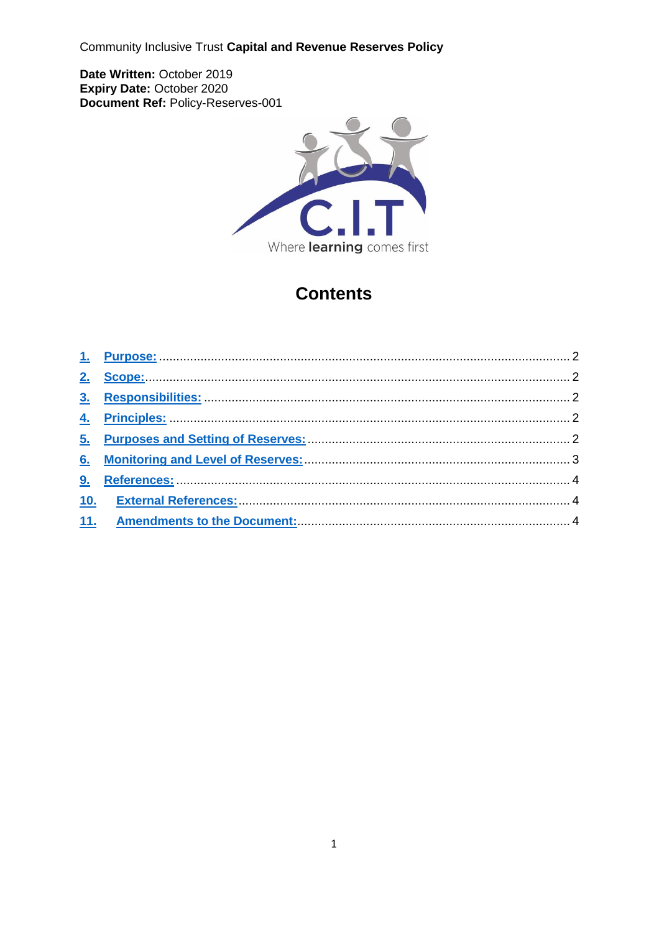Community Inclusive Trust Capital and Revenue Reserves Policy

Date Written: October 2019 Expiry Date: October 2020 Document Ref: Policy-Reserves-001



# **Contents**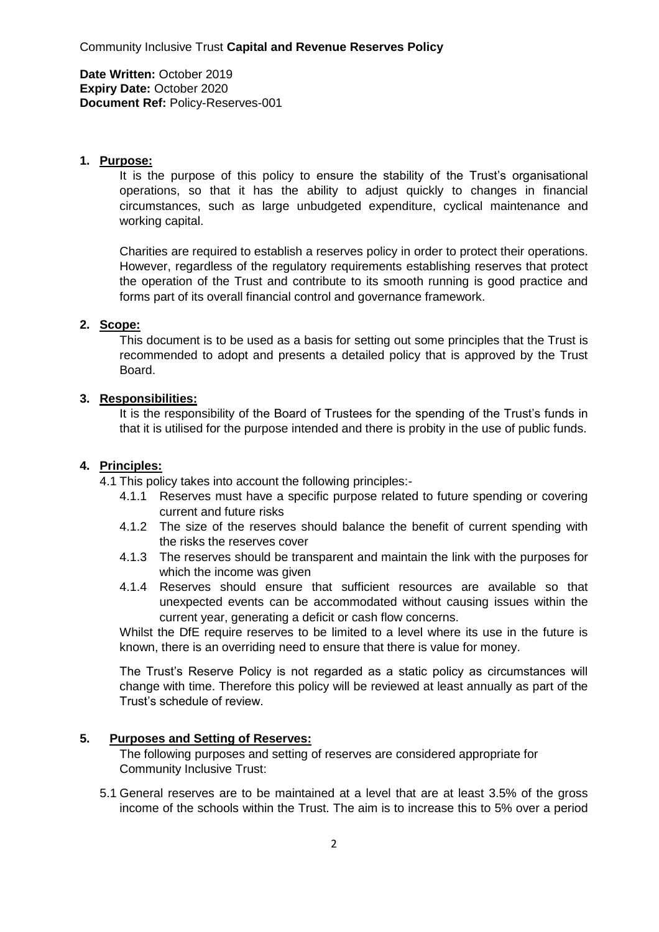**Date Written:** October 2019 **Expiry Date:** October 2020 **Document Ref:** Policy-Reserves-001

#### <span id="page-1-0"></span>**1. Purpose:**

It is the purpose of this policy to ensure the stability of the Trust's organisational operations, so that it has the ability to adjust quickly to changes in financial circumstances, such as large unbudgeted expenditure, cyclical maintenance and working capital.

Charities are required to establish a reserves policy in order to protect their operations. However, regardless of the regulatory requirements establishing reserves that protect the operation of the Trust and contribute to its smooth running is good practice and forms part of its overall financial control and governance framework.

#### <span id="page-1-1"></span>**2. Scope:**

This document is to be used as a basis for setting out some principles that the Trust is recommended to adopt and presents a detailed policy that is approved by the Trust Board.

#### <span id="page-1-2"></span>**3. Responsibilities:**

It is the responsibility of the Board of Trustees for the spending of the Trust's funds in that it is utilised for the purpose intended and there is probity in the use of public funds.

## <span id="page-1-3"></span>**4. Principles:**

4.1 This policy takes into account the following principles:-

- 4.1.1 Reserves must have a specific purpose related to future spending or covering current and future risks
- 4.1.2 The size of the reserves should balance the benefit of current spending with the risks the reserves cover
- 4.1.3 The reserves should be transparent and maintain the link with the purposes for which the income was given
- 4.1.4 Reserves should ensure that sufficient resources are available so that unexpected events can be accommodated without causing issues within the current year, generating a deficit or cash flow concerns.

Whilst the DfE require reserves to be limited to a level where its use in the future is known, there is an overriding need to ensure that there is value for money.

The Trust's Reserve Policy is not regarded as a static policy as circumstances will change with time. Therefore this policy will be reviewed at least annually as part of the Trust's schedule of review.

# <span id="page-1-4"></span>**5. Purposes and Setting of Reserves:**

The following purposes and setting of reserves are considered appropriate for Community Inclusive Trust:

5.1 General reserves are to be maintained at a level that are at least 3.5% of the gross income of the schools within the Trust. The aim is to increase this to 5% over a period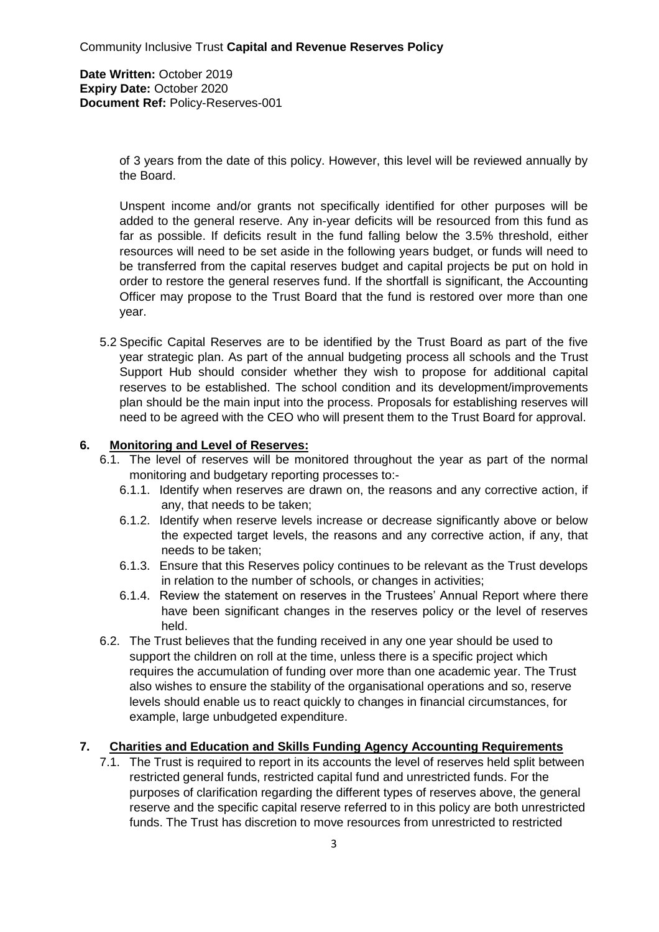**Date Written:** October 2019 **Expiry Date:** October 2020 **Document Ref:** Policy-Reserves-001

> of 3 years from the date of this policy. However, this level will be reviewed annually by the Board.

> Unspent income and/or grants not specifically identified for other purposes will be added to the general reserve. Any in-year deficits will be resourced from this fund as far as possible. If deficits result in the fund falling below the 3.5% threshold, either resources will need to be set aside in the following years budget, or funds will need to be transferred from the capital reserves budget and capital projects be put on hold in order to restore the general reserves fund. If the shortfall is significant, the Accounting Officer may propose to the Trust Board that the fund is restored over more than one year.

5.2 Specific Capital Reserves are to be identified by the Trust Board as part of the five year strategic plan. As part of the annual budgeting process all schools and the Trust Support Hub should consider whether they wish to propose for additional capital reserves to be established. The school condition and its development/improvements plan should be the main input into the process. Proposals for establishing reserves will need to be agreed with the CEO who will present them to the Trust Board for approval.

## <span id="page-2-0"></span>**6. Monitoring and Level of Reserves:**

- 6.1. The level of reserves will be monitored throughout the year as part of the normal monitoring and budgetary reporting processes to:-
	- 6.1.1. Identify when reserves are drawn on, the reasons and any corrective action, if any, that needs to be taken;
	- 6.1.2. Identify when reserve levels increase or decrease significantly above or below the expected target levels, the reasons and any corrective action, if any, that needs to be taken;
	- 6.1.3. Ensure that this Reserves policy continues to be relevant as the Trust develops in relation to the number of schools, or changes in activities;
	- 6.1.4. Review the statement on reserves in the Trustees' Annual Report where there have been significant changes in the reserves policy or the level of reserves held.
- 6.2. The Trust believes that the funding received in any one year should be used to support the children on roll at the time, unless there is a specific project which requires the accumulation of funding over more than one academic year. The Trust also wishes to ensure the stability of the organisational operations and so, reserve levels should enable us to react quickly to changes in financial circumstances, for example, large unbudgeted expenditure.

## **7. Charities and Education and Skills Funding Agency Accounting Requirements**

7.1. The Trust is required to report in its accounts the level of reserves held split between restricted general funds, restricted capital fund and unrestricted funds. For the purposes of clarification regarding the different types of reserves above, the general reserve and the specific capital reserve referred to in this policy are both unrestricted funds. The Trust has discretion to move resources from unrestricted to restricted